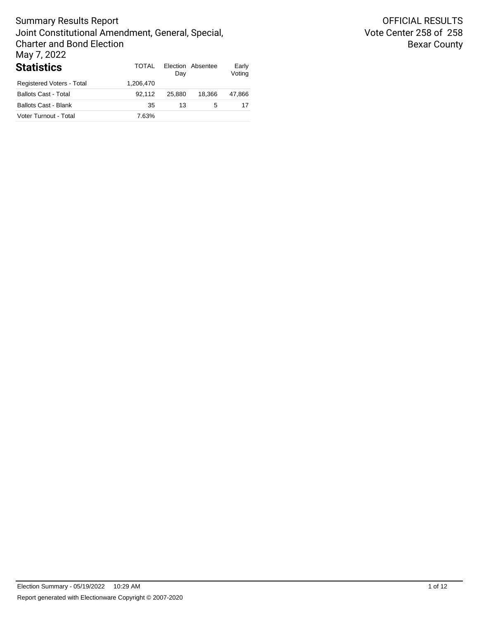| <b>Statistics</b>           | TOTAL     | Day    | Election Absentee | Early<br>Voting |
|-----------------------------|-----------|--------|-------------------|-----------------|
| Registered Voters - Total   | 1.206.470 |        |                   |                 |
| <b>Ballots Cast - Total</b> | 92.112    | 25.880 | 18.366            | 47.866          |
| <b>Ballots Cast - Blank</b> | 35        | 13     | 5                 | 17              |
| Voter Turnout - Total       | 7.63%     |        |                   |                 |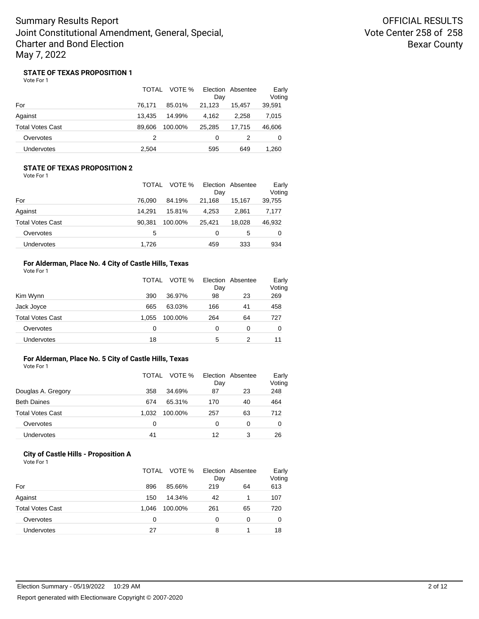OFFICIAL RESULTS Vote Center 258 of 258 Bexar County

### **STATE OF TEXAS PROPOSITION 1**

Vote For 1

|                         | <b>TOTAL</b> | VOTE %  | Day    | Election Absentee | Early<br>Voting |
|-------------------------|--------------|---------|--------|-------------------|-----------------|
| For                     | 76.171       | 85.01%  | 21.123 | 15.457            | 39,591          |
| Against                 | 13.435       | 14.99%  | 4.162  | 2.258             | 7,015           |
| <b>Total Votes Cast</b> | 89.606       | 100.00% | 25.285 | 17.715            | 46,606          |
| Overvotes               | 2            |         | 0      | 2                 | 0               |
| Undervotes              | 2,504        |         | 595    | 649               | 1,260           |

### **STATE OF TEXAS PROPOSITION 2** Vote For 1

|                         | <b>TOTAL</b> | VOTE %  | Day    | Election Absentee | Early<br>Voting |
|-------------------------|--------------|---------|--------|-------------------|-----------------|
| For                     | 76.090       | 84.19%  | 21.168 | 15.167            | 39,755          |
| Against                 | 14.291       | 15.81%  | 4.253  | 2.861             | 7,177           |
| <b>Total Votes Cast</b> | 90.381       | 100.00% | 25.421 | 18.028            | 46,932          |
| Overvotes               | 5            |         | 0      | 5                 | 0               |
| Undervotes              | 1.726        |         | 459    | 333               | 934             |

## **For Alderman, Place No. 4 City of Castle Hills, Texas**

| Vote For 1 |  |
|------------|--|
|------------|--|

|                         | <b>TOTAL</b> | VOTE %  | Day | Election Absentee | Early<br>Voting |
|-------------------------|--------------|---------|-----|-------------------|-----------------|
| Kim Wynn                | 390          | 36.97%  | 98  | 23                | 269             |
| Jack Joyce              | 665          | 63.03%  | 166 | 41                | 458             |
| <b>Total Votes Cast</b> | 1.055        | 100.00% | 264 | 64                | 727             |
| Overvotes               | 0            |         | 0   | 0                 | 0               |
| <b>Undervotes</b>       | 18           |         | 5   | 2                 | 11              |

### **For Alderman, Place No. 5 City of Castle Hills, Texas**

Vote For 1

|                         | TOTAL | VOTE %  | Day | Election Absentee | Early<br>Voting |
|-------------------------|-------|---------|-----|-------------------|-----------------|
| Douglas A. Gregory      | 358   | 34.69%  | 87  | 23                | 248             |
| <b>Beth Daines</b>      | 674   | 65.31%  | 170 | 40                | 464             |
| <b>Total Votes Cast</b> | 1.032 | 100.00% | 257 | 63                | 712             |
| Overvotes               | 0     |         | 0   | 0                 | 0               |
| <b>Undervotes</b>       | 41    |         | 12  | 3                 | 26              |

## **City of Castle Hills - Proposition A**

Vote For 1

|                         | TOTAL | VOTE %  | Day | Election Absentee | Early<br>Voting |
|-------------------------|-------|---------|-----|-------------------|-----------------|
| For                     | 896   | 85.66%  | 219 | 64                | 613             |
| Against                 | 150   | 14.34%  | 42  |                   | 107             |
| <b>Total Votes Cast</b> | 1.046 | 100.00% | 261 | 65                | 720             |
| Overvotes               | 0     |         | ი   | 0                 | 0               |
| Undervotes              | 27    |         | 8   |                   | 18              |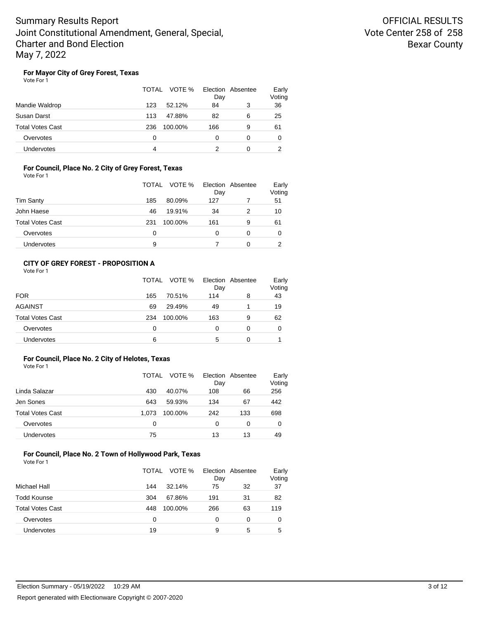### **For Mayor City of Grey Forest, Texas**

Vote For 1

|                         | TOTAL<br>VOTE % | Election Absentee<br>Day | Early<br>Voting |
|-------------------------|-----------------|--------------------------|-----------------|
| Mandie Waldrop          | 123<br>52.12%   | 84<br>3                  | 36              |
| Susan Darst             | 113<br>47.88%   | 82<br>6                  | 25              |
| <b>Total Votes Cast</b> | 236<br>100.00%  | 166<br>9                 | 61              |
| Overvotes               | 0               | 0<br>0                   | 0               |
| Undervotes              | 4               | 0                        |                 |

### **For Council, Place No. 2 City of Grey Forest, Texas** Vote For 1

|                         | TOTAL | VOTE %  | Election Absentee<br>Day |   | Early<br>Voting |
|-------------------------|-------|---------|--------------------------|---|-----------------|
| <b>Tim Santy</b>        | 185   | 80.09%  | 127                      |   | 51              |
| John Haese              | 46    | 19.91%  | 34                       |   | 10              |
| <b>Total Votes Cast</b> | 231   | 100.00% | 161                      | 9 | 61              |
| Overvotes               | 0     |         |                          | 0 | 0               |
| Undervotes              | 9     |         |                          |   | っ               |

## **CITY OF GREY FOREST - PROPOSITION A**

| Vote For 1 |  |
|------------|--|
|------------|--|

|                         | TOTAL | VOTE % Election Absentee | Day |   | Early<br>Voting |
|-------------------------|-------|--------------------------|-----|---|-----------------|
| <b>FOR</b>              | 165   | 70.51%                   | 114 | 8 | 43              |
| <b>AGAINST</b>          | 69    | 29.49%                   | 49  |   | 19              |
| <b>Total Votes Cast</b> | 234   | 100.00%                  | 163 | 9 | 62              |
| Overvotes               | 0     |                          | 0   | 0 | 0               |
| Undervotes              | 6     |                          | 5   | 0 |                 |

### **For Council, Place No. 2 City of Helotes, Texas**

Vote For 1

|                         | TOTAL | VOTE %  | Day | Election Absentee | Early<br>Voting |
|-------------------------|-------|---------|-----|-------------------|-----------------|
| Linda Salazar           | 430   | 40.07%  | 108 | 66                | 256             |
| Jen Sones               | 643   | 59.93%  | 134 | 67                | 442             |
| <b>Total Votes Cast</b> | 1.073 | 100.00% | 242 | 133               | 698             |
| Overvotes               | 0     |         | 0   | 0                 | 0               |
| <b>Undervotes</b>       | 75    |         | 13  | 13                | 49              |

#### **For Council, Place No. 2 Town of Hollywood Park, Texas** Vote For 1

|                         | TOTAL | VOTE %  | Day | Election Absentee | Early<br>Voting |
|-------------------------|-------|---------|-----|-------------------|-----------------|
| Michael Hall            | 144   | 32.14%  | 75  | 32                | 37              |
| <b>Todd Kounse</b>      | 304   | 67.86%  | 191 | 31                | 82              |
| <b>Total Votes Cast</b> | 448   | 100.00% | 266 | 63                | 119             |
| Overvotes               | 0     |         | 0   | 0                 | 0               |
| Undervotes              | 19    |         | 9   | 5                 | 5               |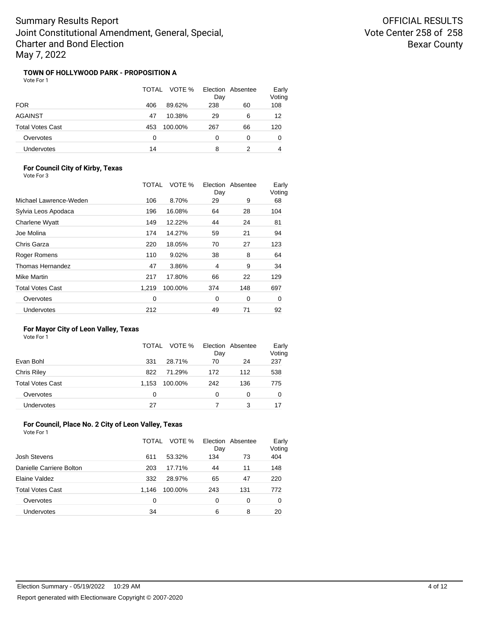## **TOWN OF HOLLYWOOD PARK - PROPOSITION A**

Vote For 1

|                   | TOTAL | VOTE %  | Election Absentee<br>Day |    | Early<br>Voting |
|-------------------|-------|---------|--------------------------|----|-----------------|
| <b>FOR</b>        | 406   | 89.62%  | 238                      | 60 | 108             |
| AGAINST           | 47    | 10.38%  | 29                       | 6  | 12              |
| Total Votes Cast  | 453   | 100.00% | 267                      | 66 | 120             |
| Overvotes         | 0     |         | 0                        | 0  | 0               |
| <b>Undervotes</b> | 14    |         | 8                        |    | 4               |

### **For Council City of Kirby, Texas** Vote For 3

|                         | TOTAL | VOTE %  | Election<br>Day | Absentee | Early<br>Voting |
|-------------------------|-------|---------|-----------------|----------|-----------------|
| Michael Lawrence-Weden  | 106   | 8.70%   | 29              | 9        | 68              |
| Sylvia Leos Apodaca     | 196   | 16.08%  | 64              | 28       | 104             |
| <b>Charlene Wyatt</b>   | 149   | 12.22%  | 44              | 24       | 81              |
| Joe Molina              | 174   | 14.27%  | 59              | 21       | 94              |
| Chris Garza             | 220   | 18.05%  | 70              | 27       | 123             |
| Roger Romens            | 110   | 9.02%   | 38              | 8        | 64              |
| Thomas Hernandez        | 47    | 3.86%   | 4               | 9        | 34              |
| Mike Martin             | 217   | 17.80%  | 66              | 22       | 129             |
| <b>Total Votes Cast</b> | 1.219 | 100.00% | 374             | 148      | 697             |
| Overvotes               | 0     |         | 0               | 0        | 0               |
| Undervotes              | 212   |         | 49              | 71       | 92              |

## **For Mayor City of Leon Valley, Texas**

| Vote For |  |  |
|----------|--|--|

|                         | TOTAL | VOTE %  | Day | Election Absentee | Early<br>Voting |
|-------------------------|-------|---------|-----|-------------------|-----------------|
| Evan Bohl               | 331   | 28.71%  | 70  | 24                | 237             |
| <b>Chris Riley</b>      | 822   | 71.29%  | 172 | 112               | 538             |
| <b>Total Votes Cast</b> | 1.153 | 100.00% | 242 | 136               | 775             |
| Overvotes               | 0     |         | 0   | 0                 | 0               |
| <b>Undervotes</b>       | 27    |         |     | 3                 | 17              |

## **For Council, Place No. 2 City of Leon Valley, Texas**

Vote For 1

|                          | TOTAL | VOTE %  | Day | Election Absentee | Early<br>Voting |
|--------------------------|-------|---------|-----|-------------------|-----------------|
| Josh Stevens             | 611   | 53.32%  | 134 | 73                | 404             |
| Danielle Carriere Bolton | 203   | 17.71%  | 44  | 11                | 148             |
| Elaine Valdez            | 332   | 28.97%  | 65  | 47                | 220             |
| <b>Total Votes Cast</b>  | 1.146 | 100.00% | 243 | 131               | 772             |
| Overvotes                | 0     |         | 0   | 0                 | 0               |
| <b>Undervotes</b>        | 34    |         | 6   | 8                 | 20              |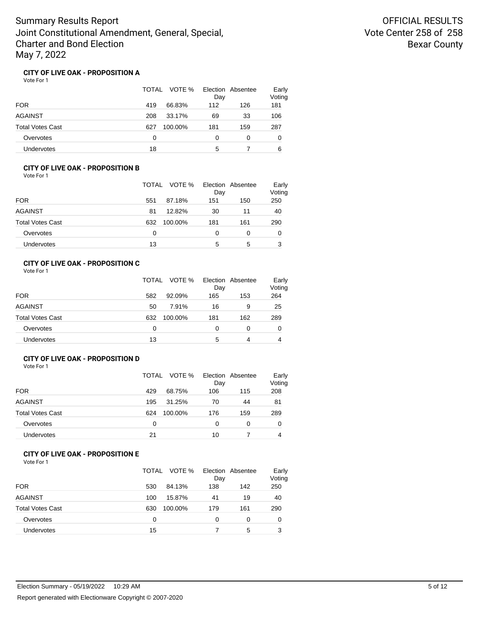### **CITY OF LIVE OAK - PROPOSITION A**

Vote For 1

|                         | TOTAL<br>VOTE % | Election Absentee<br>Day | Early<br>Voting |
|-------------------------|-----------------|--------------------------|-----------------|
| <b>FOR</b>              | 419<br>66.83%   | 112<br>126               | 181             |
| <b>AGAINST</b>          | 208<br>33.17%   | 33<br>69                 | 106             |
| <b>Total Votes Cast</b> | 627<br>100.00%  | 181<br>159               | 287             |
| Overvotes               | 0               | 0<br>0                   | 0               |
| Undervotes              | 18              | 5                        | 6               |

### **CITY OF LIVE OAK - PROPOSITION B** Vote For 1

|                  | VOTE %<br>TOTAL | Election Absentee<br>Day | Early<br>Voting |
|------------------|-----------------|--------------------------|-----------------|
| <b>FOR</b>       | 551<br>87.18%   | 151<br>150               | 250             |
| AGAINST          | 12.82%<br>81    | 30<br>11                 | 40              |
| Total Votes Cast | 100.00%<br>632  | 181<br>161               | 290             |
| Overvotes        | 0               | 0<br>0                   | 0               |
| Undervotes       | 13              | 5<br>5                   | 3               |

## **CITY OF LIVE OAK - PROPOSITION C**

Vote For 1

|                         | TOTAL | VOTE %  | Day | Election Absentee | Early<br>Voting |
|-------------------------|-------|---------|-----|-------------------|-----------------|
| <b>FOR</b>              | 582   | 92.09%  | 165 | 153               | 264             |
| <b>AGAINST</b>          | 50    | 7.91%   | 16  | 9                 | 25              |
| <b>Total Votes Cast</b> | 632   | 100.00% | 181 | 162               | 289             |
| Overvotes               | 0     |         | 0   | 0                 | 0               |
| <b>Undervotes</b>       | 13    |         | 5   | 4                 | 4               |

## **CITY OF LIVE OAK - PROPOSITION D**

Vote For 1

|                         | TOTAL | VOTE %  | Day | Election Absentee | Early<br>Voting |
|-------------------------|-------|---------|-----|-------------------|-----------------|
| <b>FOR</b>              | 429   | 68.75%  | 106 | 115               | 208             |
| <b>AGAINST</b>          | 195   | 31.25%  | 70  | 44                | 81              |
| <b>Total Votes Cast</b> | 624   | 100.00% | 176 | 159               | 289             |
| Overvotes               | 0     |         | 0   | 0                 | 0               |
| Undervotes              | 21    |         | 10  |                   | 4               |

## **CITY OF LIVE OAK - PROPOSITION E**

Vote For 1

|                         | TOTAL<br>VOTE % | Election Absentee<br>Day | Early<br>Voting |
|-------------------------|-----------------|--------------------------|-----------------|
| <b>FOR</b>              | 530<br>84.13%   | 138<br>142               | 250             |
| <b>AGAINST</b>          | 15.87%<br>100   | 19<br>41                 | 40              |
| <b>Total Votes Cast</b> | 100.00%<br>630  | 161<br>179               | 290             |
| Overvotes               | 0               | 0<br>0                   | 0               |
| Undervotes              | 15              | 5                        | 3               |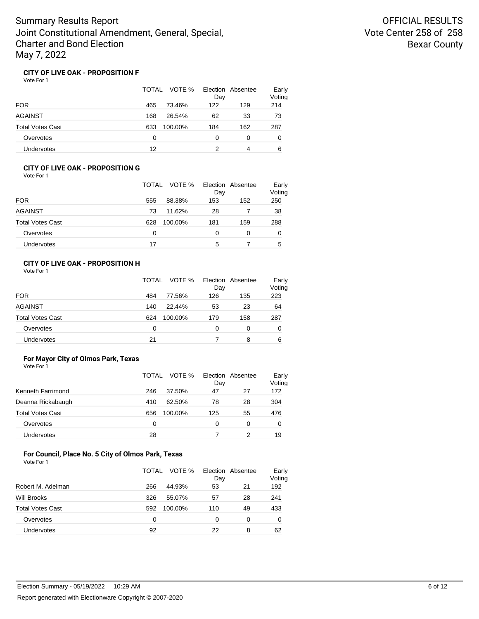### **CITY OF LIVE OAK - PROPOSITION F**

Vote For 1

|                         | TOTAL<br>VOTE % | Election Absentee<br>Day | Early<br>Voting |
|-------------------------|-----------------|--------------------------|-----------------|
| <b>FOR</b>              | 73.46%<br>465   | 122<br>129               | 214             |
| <b>AGAINST</b>          | 168<br>26.54%   | 62<br>33                 | 73              |
| <b>Total Votes Cast</b> | 633<br>100.00%  | 162<br>184               | 287             |
| Overvotes               | 0               | 0<br>0                   | 0               |
| Undervotes              | 12              | 4                        | 6               |

### **CITY OF LIVE OAK - PROPOSITION G** Vote For 1

|                  | VOTE %<br>TOTAL | Election Absentee<br>Day | Early<br>Voting |
|------------------|-----------------|--------------------------|-----------------|
| <b>FOR</b>       | 555<br>88.38%   | 153<br>152               | 250             |
| AGAINST          | 11.62%<br>73    | 28                       | 38              |
| Total Votes Cast | 628<br>100.00%  | 181<br>159               | 288             |
| Overvotes        | 0               | 0<br>0                   | 0               |
| Undervotes       | 17              | 5                        | 5               |

## **CITY OF LIVE OAK - PROPOSITION H**

Vote For 1

|                         | TOTAL | VOTE %  | Day | Election Absentee | Early<br>Voting |
|-------------------------|-------|---------|-----|-------------------|-----------------|
| <b>FOR</b>              | 484   | 77.56%  | 126 | 135               | 223             |
| <b>AGAINST</b>          | 140   | 22.44%  | 53  | 23                | 64              |
| <b>Total Votes Cast</b> | 624   | 100.00% | 179 | 158               | 287             |
| Overvotes               | 0     |         | 0   | 0                 | 0               |
| <b>Undervotes</b>       | 21    |         |     | 8                 | 6               |

### **For Mayor City of Olmos Park, Texas**

| Vote For 1              |       |         |     |                   |                 |
|-------------------------|-------|---------|-----|-------------------|-----------------|
|                         | TOTAI | VOTE %  | Day | Election Absentee | Early<br>Voting |
| Kenneth Farrimond       | 246   | 37.50%  | 47  | 27                | 172             |
| Deanna Rickabaugh       | 410   | 62.50%  | 78  | 28                | 304             |
| <b>Total Votes Cast</b> | 656   | 100.00% | 125 | 55                | 476             |
| Overvotes               | 0     |         | 0   | 0                 | 0               |
|                         |       |         |     |                   |                 |

#### **For Council, Place No. 5 City of Olmos Park, Texas** Vote For 1

|                         | TOTAL | VOTE %  | Election Absentee<br>Day |    | Early<br>Voting |
|-------------------------|-------|---------|--------------------------|----|-----------------|
| Robert M. Adelman       | 266   | 44.93%  | 53                       | 21 | 192             |
| <b>Will Brooks</b>      | 326   | 55.07%  | 57                       | 28 | 241             |
| <b>Total Votes Cast</b> | 592   | 100.00% | 110                      | 49 | 433             |
| Overvotes               | 0     |         | 0                        | 0  | 0               |
| Undervotes              | 92    |         | 22                       | 8  | 62              |

Undervotes 28 28 7 2 19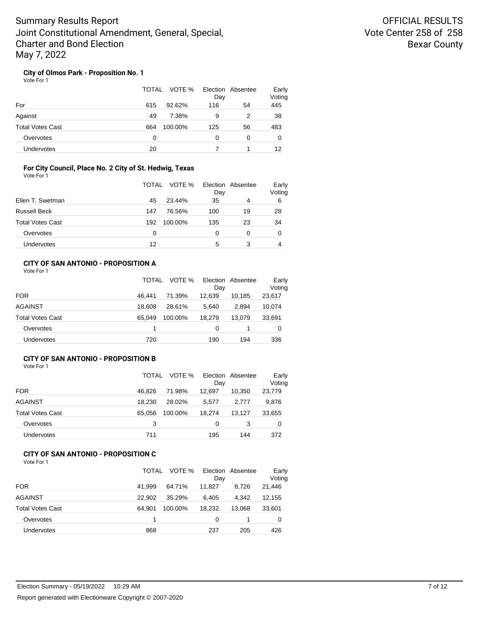## **City of Olmos Park - Proposition No. 1**

Vote For 1

|                         | TOTAL<br>VOTE % | Day | Election Absentee | Early<br>Voting |
|-------------------------|-----------------|-----|-------------------|-----------------|
| For                     | 92.62%<br>615   | 116 | 54                | 445             |
| Against                 | 7.38%<br>49     | 9   | 2                 | 38              |
| <b>Total Votes Cast</b> | 664<br>100.00%  | 125 | 56                | 483             |
| Overvotes               | 0               | 0   | 0                 | 0               |
| Undervotes              | 20              |     |                   | 12              |

### **For City Council, Place No. 2 City of St. Hedwig, Texas** Vote For 1

|                         | TOTAL | VOTE %  | Election Absentee<br>Day |    | Early<br>Voting |
|-------------------------|-------|---------|--------------------------|----|-----------------|
| Ellen T. Swetman        | 45    | 23.44%  | 35                       | 4  | 6               |
| <b>Russell Beck</b>     | 147   | 76.56%  | 100                      | 19 | 28              |
| <b>Total Votes Cast</b> | 192   | 100.00% | 135                      | 23 | 34              |
| Overvotes               | 0     |         | 0                        | 0  | 0               |
| Undervotes              | 12    |         | 5                        | 3  | 4               |

## **CITY OF SAN ANTONIO - PROPOSITION A**

| Vote For 1 |  |
|------------|--|
|------------|--|

|                         | TOTAL  | VOTE %  | Day    | Election Absentee | Early<br>Voting |
|-------------------------|--------|---------|--------|-------------------|-----------------|
| <b>FOR</b>              | 46.441 | 71.39%  | 12.639 | 10.185            | 23,617          |
| <b>AGAINST</b>          | 18.608 | 28.61%  | 5.640  | 2.894             | 10,074          |
| <b>Total Votes Cast</b> | 65.049 | 100.00% | 18.279 | 13.079            | 33,691          |
| Overvotes               |        |         | 0      |                   | 0               |
| <b>Undervotes</b>       | 720    |         | 190    | 194               | 336             |

## **CITY OF SAN ANTONIO - PROPOSITION B**

Vote For 1

|                         | TOTAL  | VOTE %  | Day    | Election Absentee | Early<br>Voting |
|-------------------------|--------|---------|--------|-------------------|-----------------|
| <b>FOR</b>              | 46.826 | 71.98%  | 12.697 | 10.350            | 23,779          |
| <b>AGAINST</b>          | 18.230 | 28.02%  | 5,577  | 2.777             | 9,876           |
| <b>Total Votes Cast</b> | 65.056 | 100.00% | 18,274 | 13,127            | 33,655          |
| Overvotes               | 3      |         | 0      | 3                 | 0               |
| <b>Undervotes</b>       | 711    |         | 195    | 144               | 372             |

#### **CITY OF SAN ANTONIO - PROPOSITION C** Vote For 1

|                         | TOTAL  | VOTE %  | Dav    | Election Absentee | Early<br>Voting |
|-------------------------|--------|---------|--------|-------------------|-----------------|
| <b>FOR</b>              | 41.999 | 64.71%  | 11.827 | 8.726             | 21,446          |
| <b>AGAINST</b>          | 22.902 | 35.29%  | 6.405  | 4.342             | 12,155          |
| <b>Total Votes Cast</b> | 64.901 | 100.00% | 18.232 | 13.068            | 33,601          |
| Overvotes               |        |         | 0      |                   | 0               |
| Undervotes              | 868    |         | 237    | 205               | 426             |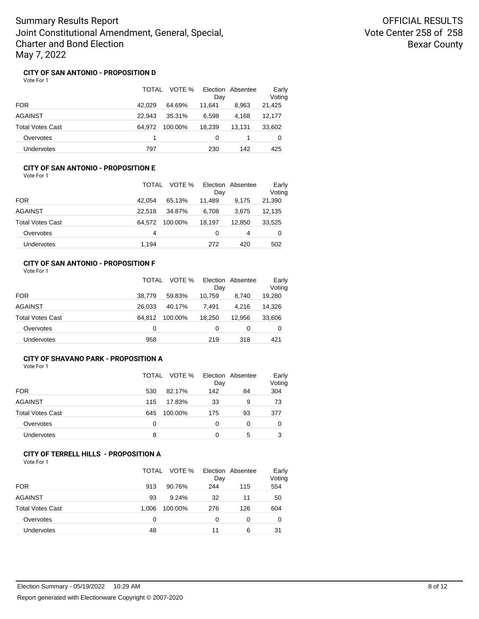OFFICIAL RESULTS Vote Center 258 of 258 Bexar County

### **CITY OF SAN ANTONIO - PROPOSITION D**

Vote For 1

|                         | TOTAL  | VOTE %  | Day    | Election Absentee | Early<br>Voting |
|-------------------------|--------|---------|--------|-------------------|-----------------|
| <b>FOR</b>              | 42.029 | 64.69%  | 11.641 | 8,963             | 21,425          |
| AGAINST                 | 22.943 | 35.31%  | 6.598  | 4.168             | 12,177          |
| <b>Total Votes Cast</b> | 64.972 | 100.00% | 18,239 | 13.131            | 33,602          |
| Overvotes               |        |         | 0      |                   | 0               |
| Undervotes              | 797    |         | 230    | 142               | 425             |

### **CITY OF SAN ANTONIO - PROPOSITION E** Vote For 1

|                         | TOTAL  | VOTE %  | Day    | Election Absentee | Early<br>Voting |
|-------------------------|--------|---------|--------|-------------------|-----------------|
| <b>FOR</b>              | 42.054 | 65.13%  | 11.489 | 9.175             | 21,390          |
| <b>AGAINST</b>          | 22.518 | 34.87%  | 6,708  | 3.675             | 12,135          |
| <b>Total Votes Cast</b> | 64.572 | 100.00% | 18.197 | 12.850            | 33,525          |
| Overvotes               | 4      |         | 0      | 4                 | 0               |
| Undervotes              | 1.194  |         | 272    | 420               | 502             |

## **CITY OF SAN ANTONIO - PROPOSITION F**

|                         | TOTAL  | VOTE %  | Day    | Election Absentee | Early<br>Voting |
|-------------------------|--------|---------|--------|-------------------|-----------------|
| <b>FOR</b>              | 38.779 | 59.83%  | 10,759 | 8.740             | 19,280          |
| <b>AGAINST</b>          | 26.033 | 40.17%  | 7.491  | 4.216             | 14,326          |
| <b>Total Votes Cast</b> | 64.812 | 100.00% | 18.250 | 12.956            | 33,606          |
| Overvotes               | 0      |         | 0      | 0                 | 0               |
| <b>Undervotes</b>       | 958    |         | 219    | 318               | 421             |

## **CITY OF SHAVANO PARK - PROPOSITION A**

Vote For 1

|                         | TOTAL | VOTE %  | Day | Election Absentee | Early<br>Voting |
|-------------------------|-------|---------|-----|-------------------|-----------------|
| <b>FOR</b>              | 530   | 82.17%  | 142 | 84                | 304             |
| <b>AGAINST</b>          | 115   | 17.83%  | 33  | 9                 | 73              |
| <b>Total Votes Cast</b> | 645   | 100.00% | 175 | 93                | 377             |
| Overvotes               | 0     |         | 0   | 0                 | O               |
| Undervotes              | 8     |         | Ω   | 5                 | 3               |

#### **CITY OF TERRELL HILLS - PROPOSITION A** Vote For 1

| 1 J J J J J J J         | <b>TOTAL</b> | VOTE %  | Day | Election Absentee | Early<br>Voting |
|-------------------------|--------------|---------|-----|-------------------|-----------------|
| <b>FOR</b>              | 913          | 90.76%  | 244 | 115               | 554             |
| <b>AGAINST</b>          | 93           | 9.24%   | 32  | 11                | 50              |
| <b>Total Votes Cast</b> | 1.006        | 100.00% | 276 | 126               | 604             |
| Overvotes               | 0            |         | 0   | 0                 | 0               |
| Undervotes              | 48           |         | 11  | 6                 | 31              |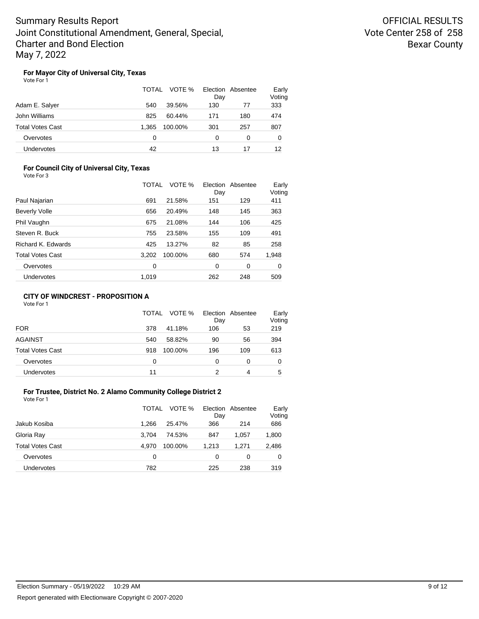OFFICIAL RESULTS Vote Center 258 of 258 Bexar County

### **For Mayor City of Universal City, Texas**

Vote For 1

|                         | TOTAL<br>VOTE %  | Election Absentee<br>Day | Early<br>Voting |
|-------------------------|------------------|--------------------------|-----------------|
| Adam E. Salyer          | 39.56%<br>540    | 130<br>77                | 333             |
| John Williams           | 825<br>60.44%    | 171<br>180               | 474             |
| <b>Total Votes Cast</b> | 1.365<br>100.00% | 301<br>257               | 807             |
| Overvotes               | 0                | 0<br>0                   | 0               |
| Undervotes              | 42               | 13<br>17                 | 12              |

### **For Council City of Universal City, Texas** Vote For 3

|                         | TOTAL | VOTE %  | Day | Election Absentee | Early<br>Voting |
|-------------------------|-------|---------|-----|-------------------|-----------------|
| Paul Najarian           | 691   | 21.58%  | 151 | 129               | 411             |
| <b>Beverly Volle</b>    | 656   | 20.49%  | 148 | 145               | 363             |
| Phil Vaughn             | 675   | 21.08%  | 144 | 106               | 425             |
| Steven R. Buck          | 755   | 23.58%  | 155 | 109               | 491             |
| Richard K. Edwards      | 425   | 13.27%  | 82  | 85                | 258             |
| <b>Total Votes Cast</b> | 3.202 | 100.00% | 680 | 574               | 1,948           |
| Overvotes               | 0     |         | 0   | 0                 | 0               |
| Undervotes              | 1.019 |         | 262 | 248               | 509             |

## **CITY OF WINDCREST - PROPOSITION A**

Vote For 1

|                         | TOTAL | VOTE %  | Day | Election Absentee | Early<br>Voting |
|-------------------------|-------|---------|-----|-------------------|-----------------|
| <b>FOR</b>              | 378   | 41.18%  | 106 | 53                | 219             |
| <b>AGAINST</b>          | 540   | 58.82%  | 90  | 56                | 394             |
| <b>Total Votes Cast</b> | 918   | 100.00% | 196 | 109               | 613             |
| Overvotes               | 0     |         | 0   | $\Omega$          | 0               |
| <b>Undervotes</b>       | 11    |         | 2   | 4                 | 5               |

### **For Trustee, District No. 2 Alamo Community College District 2** Vote For 1

|                         | TOTAL | VOTE %  | Day   | Election Absentee | Early<br>Voting |
|-------------------------|-------|---------|-------|-------------------|-----------------|
| Jakub Kosiba            | 1.266 | 25.47%  | 366   | 214               | 686             |
| Gloria Ray              | 3.704 | 74.53%  | 847   | 1.057             | 1,800           |
| <b>Total Votes Cast</b> | 4.970 | 100.00% | 1.213 | 1.271             | 2,486           |
| Overvotes               | 0     |         | 0     | 0                 | 0               |
| Undervotes              | 782   |         | 225   | 238               | 319             |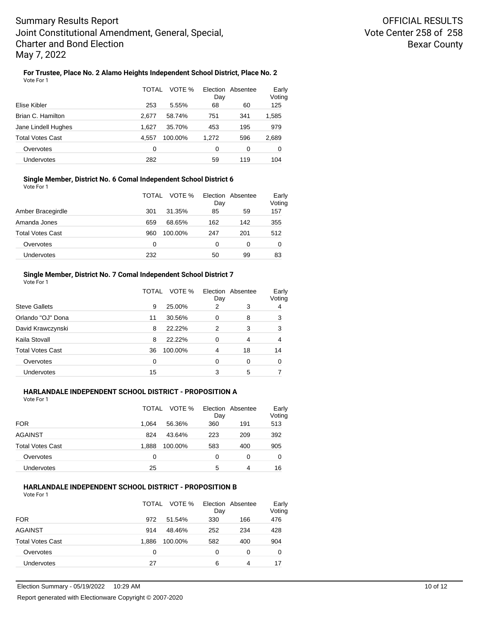## **For Trustee, Place No. 2 Alamo Heights Independent School District, Place No. 2**

| Vote For 1 |  |                                |       |
|------------|--|--------------------------------|-------|
|            |  | TOTAL VOTE % Election Absentee | Early |

|       |         | Day   |     | Voting |  |
|-------|---------|-------|-----|--------|--|
| 253   | 5.55%   | 68    | 60  | 125    |  |
| 2.677 | 58.74%  | 751   | 341 | 1,585  |  |
| 1.627 | 35.70%  | 453   | 195 | 979    |  |
| 4.557 | 100.00% | 1.272 | 596 | 2,689  |  |
| 0     |         | 0     | 0   | 0      |  |
| 282   |         | 59    | 119 | 104    |  |
|       |         |       |     |        |  |

### **Single Member, District No. 6 Comal Independent School District 6**

Vote For 1

|                         | TOTAL | VOTE %  | Election<br>Day | Absentee | Early<br>Voting |
|-------------------------|-------|---------|-----------------|----------|-----------------|
| Amber Bracegirdle       | 301   | 31.35%  | 85              | 59       | 157             |
| Amanda Jones            | 659   | 68.65%  | 162             | 142      | 355             |
| <b>Total Votes Cast</b> | 960   | 100.00% | 247             | 201      | 512             |
| Overvotes               | 0     |         | 0               | 0        | 0               |
| Undervotes              | 232   |         | 50              | 99       | 83              |

### **Single Member, District No. 7 Comal Independent School District 7**

| Vote For 1              |       |         |                          |    |                 |
|-------------------------|-------|---------|--------------------------|----|-----------------|
|                         | TOTAL | VOTE %  | Election Absentee<br>Day |    | Early<br>Voting |
| <b>Steve Gallets</b>    | 9     | 25.00%  | 2                        | 3  | 4               |
| Orlando "OJ" Dona       | 11    | 30.56%  | $\Omega$                 | 8  | 3               |
| David Krawczynski       | 8     | 22.22%  | 2                        | 3  | 3               |
| Kaila Stovall           | 8     | 22.22%  | 0                        | 4  | 4               |
| <b>Total Votes Cast</b> | 36    | 100.00% | 4                        | 18 | 14              |
| Overvotes               | 0     |         | 0                        | 0  | 0               |
| Undervotes              | 15    |         | 3                        | 5  |                 |

## **HARLANDALE INDEPENDENT SCHOOL DISTRICT - PROPOSITION A**

Vote For 1

|                         | <b>TOTAL</b> | VOTE %  | Day | Election Absentee | Early<br>Voting |
|-------------------------|--------------|---------|-----|-------------------|-----------------|
| <b>FOR</b>              | 1.064        | 56.36%  | 360 | 191               | 513             |
| <b>AGAINST</b>          | 824          | 43.64%  | 223 | 209               | 392             |
| <b>Total Votes Cast</b> | 1.888        | 100.00% | 583 | 400               | 905             |
| Overvotes               | 0            |         | 0   | 0                 | 0               |
| <b>Undervotes</b>       | 25           |         | 5   | 4                 | 16              |

## **HARLANDALE INDEPENDENT SCHOOL DISTRICT - PROPOSITION B**

| Vote For 1 |  |
|------------|--|
|            |  |

|                         | VOTE %<br>TOTAL  | Day | Election Absentee | Early<br>Voting |
|-------------------------|------------------|-----|-------------------|-----------------|
| <b>FOR</b>              | 972<br>51.54%    | 330 | 166               | 476             |
| <b>AGAINST</b>          | 914<br>48.46%    | 252 | 234               | 428             |
| <b>Total Votes Cast</b> | 1.886<br>100.00% | 582 | 400               | 904             |
| Overvotes               | 0                | 0   | 0                 | 0               |
| Undervotes              | 27               | 6   | 4                 | 17              |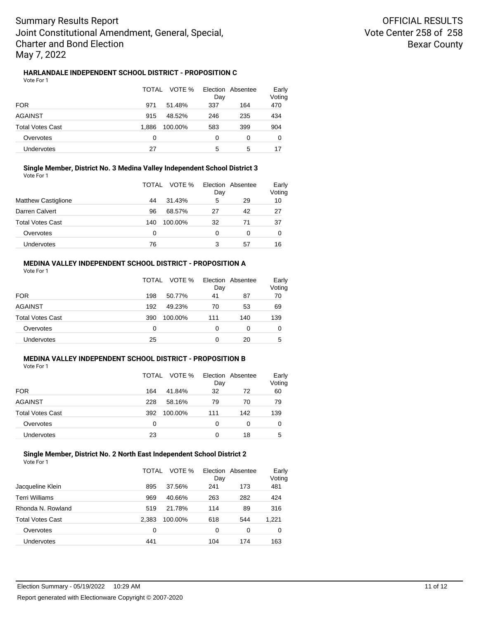## **HARLANDALE INDEPENDENT SCHOOL DISTRICT - PROPOSITION C**

|                   | TOTAL<br>VOTE %  | Election Absentee<br>Day | Early<br>Voting |
|-------------------|------------------|--------------------------|-----------------|
| <b>FOR</b>        | 971<br>51.48%    | 337<br>164               | 470             |
| AGAINST           | 48.52%<br>915    | 246<br>235               | 434             |
| Total Votes Cast  | 1.886<br>100.00% | 399<br>583               | 904             |
| Overvotes         | 0                | 0<br>0                   | 0               |
| <b>Undervotes</b> | 27               | 5<br>5                   | 17              |

#### **Single Member, District No. 3 Medina Valley Independent School District 3** Vote For 1

|                            | VOTE %<br>TOTAL | Election Absentee<br>Day | Early<br>Voting |
|----------------------------|-----------------|--------------------------|-----------------|
| <b>Matthew Castiglione</b> | 31.43%<br>44    | 5<br>29                  | 10              |
| Darren Calvert             | 68.57%<br>96    | 42<br>27                 | 27              |
| <b>Total Votes Cast</b>    | 100.00%<br>140  | 32<br>71                 | 37              |
| Overvotes                  | 0               | 0<br>0                   | 0               |
| Undervotes                 | 76              | 3<br>57                  | 16              |

## **MEDINA VALLEY INDEPENDENT SCHOOL DISTRICT - PROPOSITION A**

Vote For 1

|                         | TOTAL | VOTE %  | Day | Election Absentee | Early<br>Voting |
|-------------------------|-------|---------|-----|-------------------|-----------------|
| <b>FOR</b>              | 198   | 50.77%  | 41  | 87                | 70              |
| <b>AGAINST</b>          | 192   | 49.23%  | 70  | 53                | 69              |
| <b>Total Votes Cast</b> | 390   | 100.00% | 111 | 140               | 139             |
| Overvotes               | 0     |         | 0   | 0                 | 0               |
| <b>Undervotes</b>       | 25    |         | 0   | 20                | 5               |

#### **MEDINA VALLEY INDEPENDENT SCHOOL DISTRICT - PROPOSITION B** Vote For 1

| 1 U U U                 | VOTE %<br>TOTAL | Election Absentee<br>Day | Early<br>Voting |
|-------------------------|-----------------|--------------------------|-----------------|
| <b>FOR</b>              | 41.84%<br>164   | 32<br>72                 | 60              |
| <b>AGAINST</b>          | 228<br>58.16%   | 79<br>70                 | 79              |
| <b>Total Votes Cast</b> | 392<br>100.00%  | 142<br>111               | 139             |
| Overvotes               | 0               | 0<br>0                   | 0               |
| <b>Undervotes</b>       | 23              | 18                       | 5               |

#### **Single Member, District No. 2 North East Independent School District 2** Vote For 1

|                         | TOTAL | VOTE %  | Day | Election Absentee | Early<br>Voting |
|-------------------------|-------|---------|-----|-------------------|-----------------|
| Jacqueline Klein        | 895   | 37.56%  | 241 | 173               | 481             |
| Terri Williams          | 969   | 40.66%  | 263 | 282               | 424             |
| Rhonda N. Rowland       | 519   | 21.78%  | 114 | 89                | 316             |
| <b>Total Votes Cast</b> | 2.383 | 100.00% | 618 | 544               | 1,221           |
| Overvotes               | 0     |         | 0   | 0                 | 0               |
| Undervotes              | 441   |         | 104 | 174               | 163             |